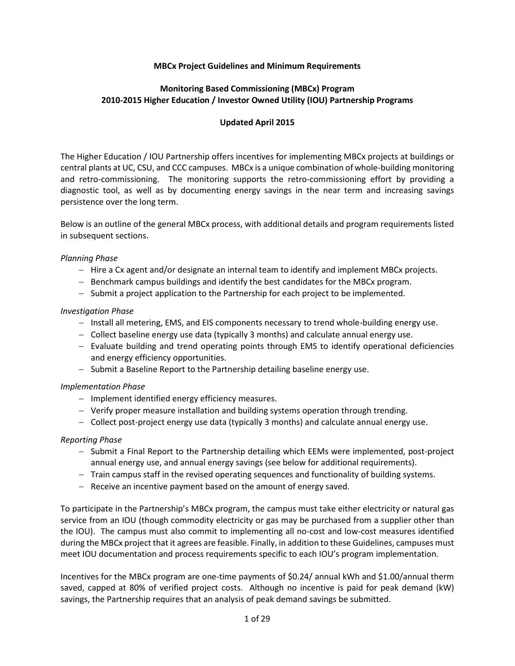## **MBCx Project Guidelines and Minimum Requirements**

## **Monitoring Based Commissioning (MBCx) Program 2010-2015 Higher Education / Investor Owned Utility (IOU) Partnership Programs**

## **Updated April 2015**

The Higher Education / IOU Partnership offers incentives for implementing MBCx projects at buildings or central plants at UC, CSU, and CCC campuses. MBCx is a unique combination of whole-building monitoring and retro-commissioning. The monitoring supports the retro-commissioning effort by providing a diagnostic tool, as well as by documenting energy savings in the near term and increasing savings persistence over the long term.

Below is an outline of the general MBCx process, with additional details and program requirements listed in subsequent sections.

#### *Planning Phase*

- − Hire a Cx agent and/or designate an internal team to identify and implement MBCx projects.
- − Benchmark campus buildings and identify the best candidates for the MBCx program.
- − Submit a project application to the Partnership for each project to be implemented.

#### *Investigation Phase*

- − Install all metering, EMS, and EIS components necessary to trend whole-building energy use.
- − Collect baseline energy use data (typically 3 months) and calculate annual energy use.
- − Evaluate building and trend operating points through EMS to identify operational deficiencies and energy efficiency opportunities.
- − Submit a Baseline Report to the Partnership detailing baseline energy use.

## *Implementation Phase*

- − Implement identified energy efficiency measures.
- − Verify proper measure installation and building systems operation through trending.
- − Collect post-project energy use data (typically 3 months) and calculate annual energy use.

## *Reporting Phase*

- − Submit a Final Report to the Partnership detailing which EEMs were implemented, post-project annual energy use, and annual energy savings (see below for additional requirements).
- − Train campus staff in the revised operating sequences and functionality of building systems.
- − Receive an incentive payment based on the amount of energy saved.

To participate in the Partnership's MBCx program, the campus must take either electricity or natural gas service from an IOU (though commodity electricity or gas may be purchased from a supplier other than the IOU). The campus must also commit to implementing all no-cost and low-cost measures identified during the MBCx project that it agrees are feasible. Finally, in addition to these Guidelines, campuses must meet IOU documentation and process requirements specific to each IOU's program implementation.

Incentives for the MBCx program are one-time payments of \$0.24/ annual kWh and \$1.00/annual therm saved, capped at 80% of verified project costs. Although no incentive is paid for peak demand (kW) savings, the Partnership requires that an analysis of peak demand savings be submitted.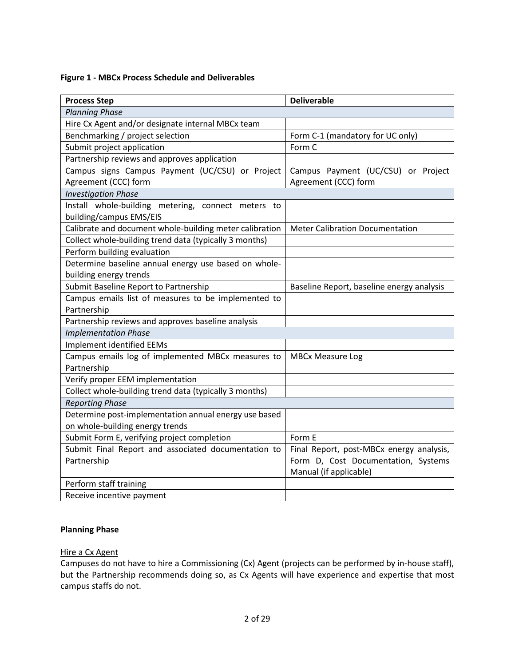## **Figure 1 - MBCx Process Schedule and Deliverables**

| <b>Process Step</b>                                     | <b>Deliverable</b>                        |  |  |  |  |
|---------------------------------------------------------|-------------------------------------------|--|--|--|--|
| <b>Planning Phase</b>                                   |                                           |  |  |  |  |
| Hire Cx Agent and/or designate internal MBCx team       |                                           |  |  |  |  |
| Benchmarking / project selection                        | Form C-1 (mandatory for UC only)          |  |  |  |  |
| Submit project application                              | Form C                                    |  |  |  |  |
| Partnership reviews and approves application            |                                           |  |  |  |  |
| Campus signs Campus Payment (UC/CSU) or Project         | Campus Payment (UC/CSU) or Project        |  |  |  |  |
| Agreement (CCC) form                                    | Agreement (CCC) form                      |  |  |  |  |
| <b>Investigation Phase</b>                              |                                           |  |  |  |  |
| Install whole-building metering, connect meters to      |                                           |  |  |  |  |
| building/campus EMS/EIS                                 |                                           |  |  |  |  |
| Calibrate and document whole-building meter calibration | <b>Meter Calibration Documentation</b>    |  |  |  |  |
| Collect whole-building trend data (typically 3 months)  |                                           |  |  |  |  |
| Perform building evaluation                             |                                           |  |  |  |  |
| Determine baseline annual energy use based on whole-    |                                           |  |  |  |  |
| building energy trends                                  |                                           |  |  |  |  |
| Submit Baseline Report to Partnership                   | Baseline Report, baseline energy analysis |  |  |  |  |
| Campus emails list of measures to be implemented to     |                                           |  |  |  |  |
| Partnership                                             |                                           |  |  |  |  |
| Partnership reviews and approves baseline analysis      |                                           |  |  |  |  |
| <b>Implementation Phase</b>                             |                                           |  |  |  |  |
| Implement identified EEMs                               |                                           |  |  |  |  |
| Campus emails log of implemented MBCx measures to       | <b>MBCx Measure Log</b>                   |  |  |  |  |
| Partnership                                             |                                           |  |  |  |  |
| Verify proper EEM implementation                        |                                           |  |  |  |  |
| Collect whole-building trend data (typically 3 months)  |                                           |  |  |  |  |
| <b>Reporting Phase</b>                                  |                                           |  |  |  |  |
| Determine post-implementation annual energy use based   |                                           |  |  |  |  |
| on whole-building energy trends                         |                                           |  |  |  |  |
| Submit Form E, verifying project completion             | Form E                                    |  |  |  |  |
| Submit Final Report and associated documentation to     | Final Report, post-MBCx energy analysis,  |  |  |  |  |
| Partnership                                             | Form D, Cost Documentation, Systems       |  |  |  |  |
|                                                         | Manual (if applicable)                    |  |  |  |  |
| Perform staff training                                  |                                           |  |  |  |  |
| Receive incentive payment                               |                                           |  |  |  |  |

## **Planning Phase**

## Hire a Cx Agent

Campuses do not have to hire a Commissioning (Cx) Agent (projects can be performed by in-house staff), but the Partnership recommends doing so, as Cx Agents will have experience and expertise that most campus staffs do not.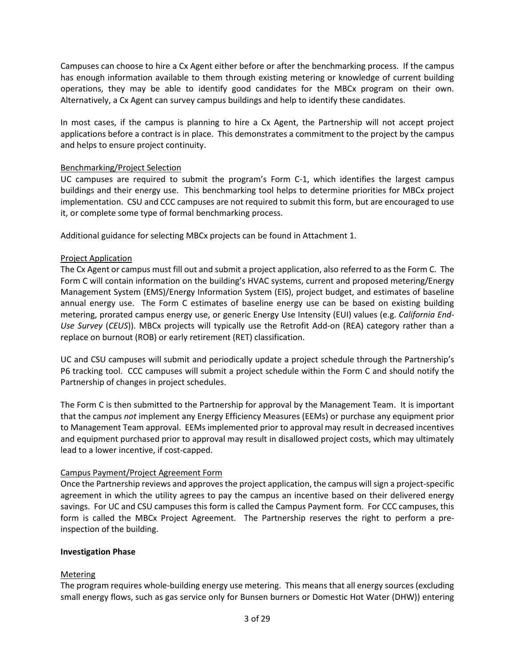Campuses can choose to hire a Cx Agent either before or after the benchmarking process. If the campus has enough information available to them through existing metering or knowledge of current building operations, they may be able to identify good candidates for the MBCx program on their own. Alternatively, a Cx Agent can survey campus buildings and help to identify these candidates.

In most cases, if the campus is planning to hire a Cx Agent, the Partnership will not accept project applications before a contract is in place. This demonstrates a commitment to the project by the campus and helps to ensure project continuity.

## Benchmarking/Project Selection

UC campuses are required to submit the program's Form C-1, which identifies the largest campus buildings and their energy use. This benchmarking tool helps to determine priorities for MBCx project implementation. CSU and CCC campuses are not required to submit this form, but are encouraged to use it, or complete some type of formal benchmarking process.

Additional guidance for selecting MBCx projects can be found in Attachment 1.

## Project Application

The Cx Agent or campus must fill out and submit a project application, also referred to as the Form C. The Form C will contain information on the building's HVAC systems, current and proposed metering/Energy Management System (EMS)/Energy Information System (EIS), project budget, and estimates of baseline annual energy use. The Form C estimates of baseline energy use can be based on existing building metering, prorated campus energy use, or generic Energy Use Intensity (EUI) values (e.g. *California End-Use Survey* (*CEUS*)). MBCx projects will typically use the Retrofit Add-on (REA) category rather than a replace on burnout (ROB) or early retirement (RET) classification.

UC and CSU campuses will submit and periodically update a project schedule through the Partnership's P6 tracking tool. CCC campuses will submit a project schedule within the Form C and should notify the Partnership of changes in project schedules.

The Form C is then submitted to the Partnership for approval by the Management Team. It is important that the campus *not* implement any Energy Efficiency Measures (EEMs) or purchase any equipment prior to Management Team approval. EEMs implemented prior to approval may result in decreased incentives and equipment purchased prior to approval may result in disallowed project costs, which may ultimately lead to a lower incentive, if cost-capped.

## Campus Payment/Project Agreement Form

Once the Partnership reviews and approves the project application, the campus will sign a project-specific agreement in which the utility agrees to pay the campus an incentive based on their delivered energy savings. For UC and CSU campuses this form is called the Campus Payment form. For CCC campuses, this form is called the MBCx Project Agreement. The Partnership reserves the right to perform a preinspection of the building.

## **Investigation Phase**

## Metering

The program requires whole-building energy use metering. This means that all energy sources (excluding small energy flows, such as gas service only for Bunsen burners or Domestic Hot Water (DHW)) entering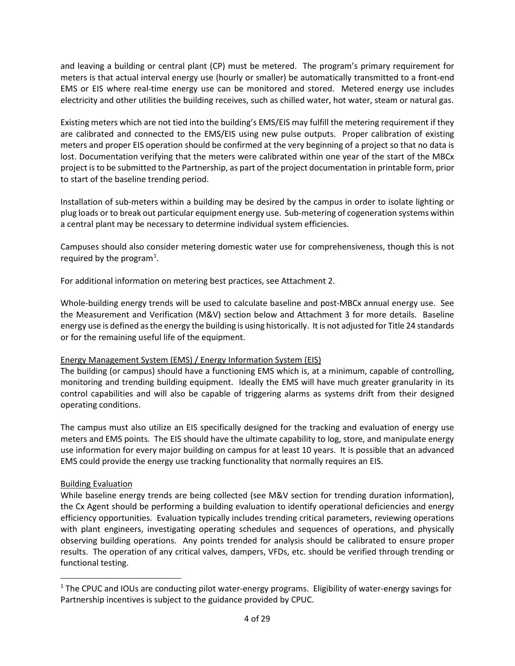and leaving a building or central plant (CP) must be metered. The program's primary requirement for meters is that actual interval energy use (hourly or smaller) be automatically transmitted to a front-end EMS or EIS where real-time energy use can be monitored and stored. Metered energy use includes electricity and other utilities the building receives, such as chilled water, hot water, steam or natural gas.

Existing meters which are not tied into the building's EMS/EIS may fulfill the metering requirement if they are calibrated and connected to the EMS/EIS using new pulse outputs. Proper calibration of existing meters and proper EIS operation should be confirmed at the very beginning of a project so that no data is lost. Documentation verifying that the meters were calibrated within one year of the start of the MBCx project is to be submitted to the Partnership, as part of the project documentation in printable form, prior to start of the baseline trending period.

Installation of sub-meters within a building may be desired by the campus in order to isolate lighting or plug loads or to break out particular equipment energy use. Sub-metering of cogeneration systems within a central plant may be necessary to determine individual system efficiencies.

Campuses should also consider metering domestic water use for comprehensiveness, though this is not required by the program<sup>[1](#page-3-0)</sup>.

For additional information on metering best practices, see Attachment 2.

Whole-building energy trends will be used to calculate baseline and post-MBCx annual energy use. See the Measurement and Verification (M&V) section below and Attachment 3 for more details. Baseline energy use is defined as the energy the building is using historically. It is not adjusted for Title 24 standards or for the remaining useful life of the equipment.

## Energy Management System (EMS) / Energy Information System (EIS)

The building (or campus) should have a functioning EMS which is, at a minimum, capable of controlling, monitoring and trending building equipment. Ideally the EMS will have much greater granularity in its control capabilities and will also be capable of triggering alarms as systems drift from their designed operating conditions.

The campus must also utilize an EIS specifically designed for the tracking and evaluation of energy use meters and EMS points. The EIS should have the ultimate capability to log, store, and manipulate energy use information for every major building on campus for at least 10 years. It is possible that an advanced EMS could provide the energy use tracking functionality that normally requires an EIS.

## Building Evaluation

l

While baseline energy trends are being collected (see M&V section for trending duration information), the Cx Agent should be performing a building evaluation to identify operational deficiencies and energy efficiency opportunities. Evaluation typically includes trending critical parameters, reviewing operations with plant engineers, investigating operating schedules and sequences of operations, and physically observing building operations. Any points trended for analysis should be calibrated to ensure proper results. The operation of any critical valves, dampers, VFDs, etc. should be verified through trending or functional testing.

<span id="page-3-0"></span><sup>1</sup> The CPUC and IOUs are conducting pilot water-energy programs. Eligibility of water-energy savings for Partnership incentives is subject to the guidance provided by CPUC.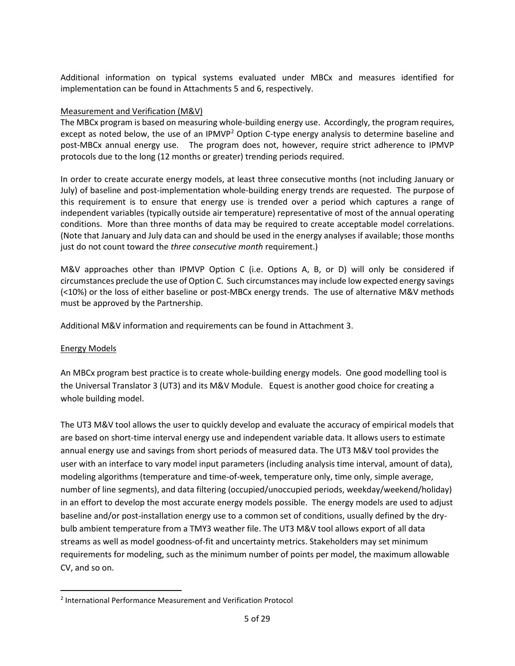Additional information on typical systems evaluated under MBCx and measures identified for implementation can be found in Attachments 5 and 6, respectively.

## Measurement and Verification (M&V)

The MBCx program is based on measuring whole-building energy use. Accordingly, the program requires, except as noted below, the use of an IPMVP<sup>[2](#page-4-0)</sup> Option C-type energy analysis to determine baseline and post-MBCx annual energy use. The program does not, however, require strict adherence to IPMVP protocols due to the long (12 months or greater) trending periods required.

In order to create accurate energy models, at least three consecutive months (not including January or July) of baseline and post-implementation whole-building energy trends are requested. The purpose of this requirement is to ensure that energy use is trended over a period which captures a range of independent variables (typically outside air temperature) representative of most of the annual operating conditions. More than three months of data may be required to create acceptable model correlations. (Note that January and July data can and should be used in the energy analyses if available; those months just do not count toward the *three consecutive month* requirement.)

M&V approaches other than IPMVP Option C (i.e. Options A, B, or D) will only be considered if circumstances preclude the use of Option C. Such circumstances may include low expected energy savings (<10%) or the loss of either baseline or post-MBCx energy trends. The use of alternative M&V methods must be approved by the Partnership.

Additional M&V information and requirements can be found in Attachment 3.

## Energy Models

l

An MBCx program best practice is to create whole-building energy models. One good modelling tool is the Universal Translator 3 (UT3) and its M&V Module. Equest is another good choice for creating a whole building model.

The UT3 M&V tool allows the user to quickly develop and evaluate the accuracy of empirical models that are based on short-time interval energy use and independent variable data. It allows users to estimate annual energy use and savings from short periods of measured data. The UT3 M&V tool provides the user with an interface to vary model input parameters (including analysis time interval, amount of data), modeling algorithms (temperature and time-of-week, temperature only, time only, simple average, number of line segments), and data filtering (occupied/unoccupied periods, weekday/weekend/holiday) in an effort to develop the most accurate energy models possible. The energy models are used to adjust baseline and/or post-installation energy use to a common set of conditions, usually defined by the drybulb ambient temperature from a TMY3 weather file. The UT3 M&V tool allows export of all data streams as well as model goodness-of-fit and uncertainty metrics. Stakeholders may set minimum requirements for modeling, such as the minimum number of points per model, the maximum allowable CV, and so on.

<span id="page-4-0"></span><sup>2</sup> International Performance Measurement and Verification Protocol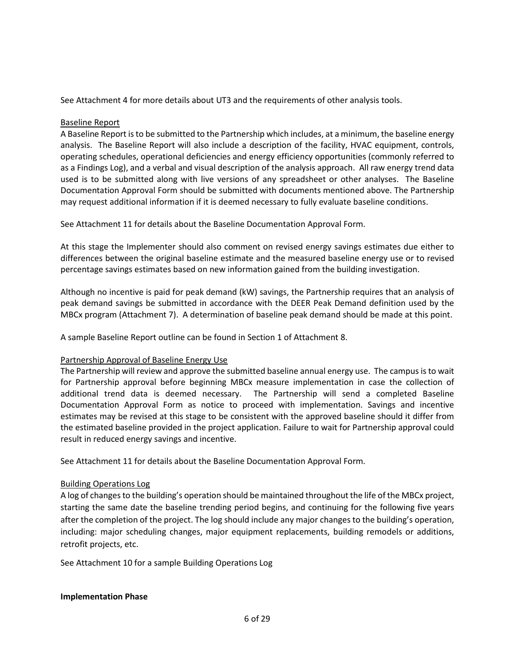See Attachment 4 for more details about UT3 and the requirements of other analysis tools.

## Baseline Report

A Baseline Report is to be submitted to the Partnership which includes, at a minimum, the baseline energy analysis. The Baseline Report will also include a description of the facility, HVAC equipment, controls, operating schedules, operational deficiencies and energy efficiency opportunities (commonly referred to as a Findings Log), and a verbal and visual description of the analysis approach. All raw energy trend data used is to be submitted along with live versions of any spreadsheet or other analyses. The Baseline Documentation Approval Form should be submitted with documents mentioned above. The Partnership may request additional information if it is deemed necessary to fully evaluate baseline conditions.

See Attachment 11 for details about the Baseline Documentation Approval Form.

At this stage the Implementer should also comment on revised energy savings estimates due either to differences between the original baseline estimate and the measured baseline energy use or to revised percentage savings estimates based on new information gained from the building investigation.

Although no incentive is paid for peak demand (kW) savings, the Partnership requires that an analysis of peak demand savings be submitted in accordance with the DEER Peak Demand definition used by the MBCx program (Attachment 7). A determination of baseline peak demand should be made at this point.

A sample Baseline Report outline can be found in Section 1 of Attachment 8.

## Partnership Approval of Baseline Energy Use

The Partnership will review and approve the submitted baseline annual energy use. The campus is to wait for Partnership approval before beginning MBCx measure implementation in case the collection of additional trend data is deemed necessary. The Partnership will send a completed Baseline Documentation Approval Form as notice to proceed with implementation. Savings and incentive estimates may be revised at this stage to be consistent with the approved baseline should it differ from the estimated baseline provided in the project application. Failure to wait for Partnership approval could result in reduced energy savings and incentive.

See Attachment 11 for details about the Baseline Documentation Approval Form.

## Building Operations Log

A log of changes to the building's operation should be maintained throughout the life of the MBCx project, starting the same date the baseline trending period begins, and continuing for the following five years after the completion of the project. The log should include any major changes to the building's operation, including: major scheduling changes, major equipment replacements, building remodels or additions, retrofit projects, etc.

See Attachment 10 for a sample Building Operations Log

## **Implementation Phase**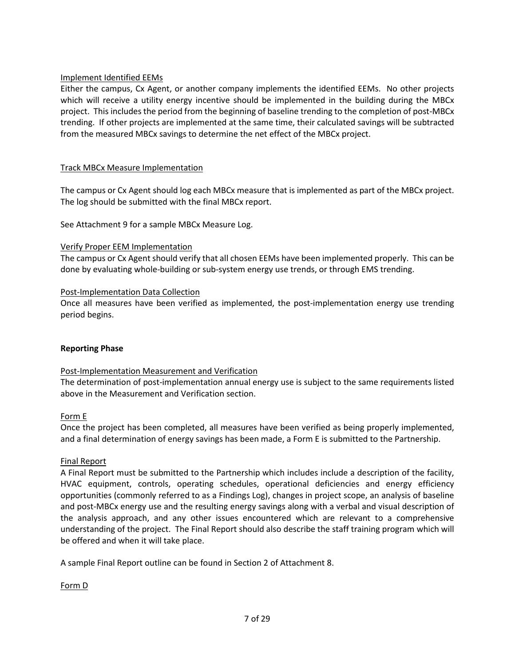## Implement Identified EEMs

Either the campus, Cx Agent, or another company implements the identified EEMs. No other projects which will receive a utility energy incentive should be implemented in the building during the MBCx project. This includes the period from the beginning of baseline trending to the completion of post-MBCx trending. If other projects are implemented at the same time, their calculated savings will be subtracted from the measured MBCx savings to determine the net effect of the MBCx project.

## Track MBCx Measure Implementation

The campus or Cx Agent should log each MBCx measure that is implemented as part of the MBCx project. The log should be submitted with the final MBCx report.

See Attachment 9 for a sample MBCx Measure Log.

## Verify Proper EEM Implementation

The campus or Cx Agent should verify that all chosen EEMs have been implemented properly. This can be done by evaluating whole-building or sub-system energy use trends, or through EMS trending.

## Post-Implementation Data Collection

Once all measures have been verified as implemented, the post-implementation energy use trending period begins.

## **Reporting Phase**

## Post-Implementation Measurement and Verification

The determination of post-implementation annual energy use is subject to the same requirements listed above in the Measurement and Verification section.

## Form E

Once the project has been completed, all measures have been verified as being properly implemented, and a final determination of energy savings has been made, a Form E is submitted to the Partnership.

## Final Report

A Final Report must be submitted to the Partnership which includes include a description of the facility, HVAC equipment, controls, operating schedules, operational deficiencies and energy efficiency opportunities (commonly referred to as a Findings Log), changes in project scope, an analysis of baseline and post-MBCx energy use and the resulting energy savings along with a verbal and visual description of the analysis approach, and any other issues encountered which are relevant to a comprehensive understanding of the project. The Final Report should also describe the staff training program which will be offered and when it will take place.

A sample Final Report outline can be found in Section 2 of Attachment 8.

## Form D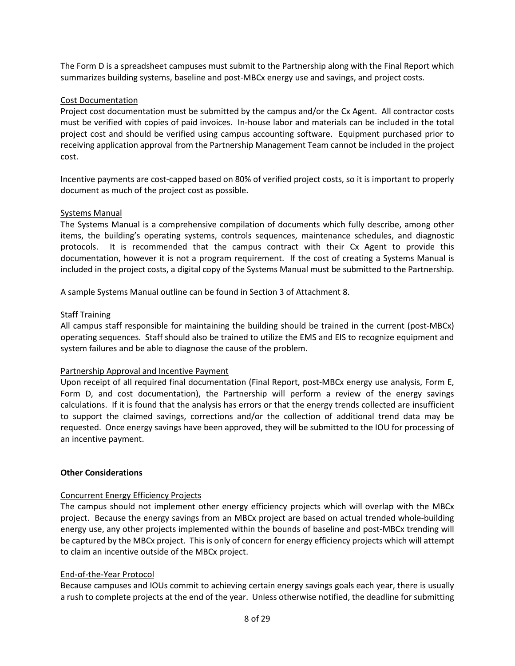The Form D is a spreadsheet campuses must submit to the Partnership along with the Final Report which summarizes building systems, baseline and post-MBCx energy use and savings, and project costs.

## Cost Documentation

Project cost documentation must be submitted by the campus and/or the Cx Agent. All contractor costs must be verified with copies of paid invoices. In-house labor and materials can be included in the total project cost and should be verified using campus accounting software. Equipment purchased prior to receiving application approval from the Partnership Management Team cannot be included in the project cost.

Incentive payments are cost-capped based on 80% of verified project costs, so it is important to properly document as much of the project cost as possible.

## Systems Manual

The Systems Manual is a comprehensive compilation of documents which fully describe, among other items, the building's operating systems, controls sequences, maintenance schedules, and diagnostic protocols. It is recommended that the campus contract with their Cx Agent to provide this documentation, however it is not a program requirement. If the cost of creating a Systems Manual is included in the project costs, a digital copy of the Systems Manual must be submitted to the Partnership.

A sample Systems Manual outline can be found in Section 3 of Attachment 8.

## Staff Training

All campus staff responsible for maintaining the building should be trained in the current (post-MBCx) operating sequences. Staff should also be trained to utilize the EMS and EIS to recognize equipment and system failures and be able to diagnose the cause of the problem.

## Partnership Approval and Incentive Payment

Upon receipt of all required final documentation (Final Report, post-MBCx energy use analysis, Form E, Form D, and cost documentation), the Partnership will perform a review of the energy savings calculations. If it is found that the analysis has errors or that the energy trends collected are insufficient to support the claimed savings, corrections and/or the collection of additional trend data may be requested. Once energy savings have been approved, they will be submitted to the IOU for processing of an incentive payment.

## **Other Considerations**

## Concurrent Energy Efficiency Projects

The campus should not implement other energy efficiency projects which will overlap with the MBCx project. Because the energy savings from an MBCx project are based on actual trended whole-building energy use, any other projects implemented within the bounds of baseline and post-MBCx trending will be captured by the MBCx project. This is only of concern for energy efficiency projects which will attempt to claim an incentive outside of the MBCx project.

## End-of-the-Year Protocol

Because campuses and IOUs commit to achieving certain energy savings goals each year, there is usually a rush to complete projects at the end of the year. Unless otherwise notified, the deadline for submitting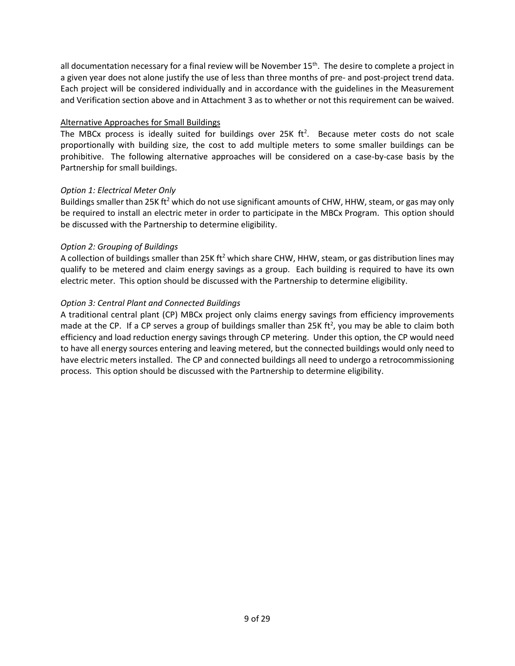all documentation necessary for a final review will be November  $15<sup>th</sup>$ . The desire to complete a project in a given year does not alone justify the use of less than three months of pre- and post-project trend data. Each project will be considered individually and in accordance with the guidelines in the Measurement and Verification section above and in Attachment 3 as to whether or not this requirement can be waived.

## Alternative Approaches for Small Buildings

The MBCx process is ideally suited for buildings over 25K  $ft^2$ . Because meter costs do not scale proportionally with building size, the cost to add multiple meters to some smaller buildings can be prohibitive. The following alternative approaches will be considered on a case-by-case basis by the Partnership for small buildings.

## *Option 1: Electrical Meter Only*

Buildings smaller than 25K ft<sup>2</sup> which do not use significant amounts of CHW, HHW, steam, or gas may only be required to install an electric meter in order to participate in the MBCx Program. This option should be discussed with the Partnership to determine eligibility.

## *Option 2: Grouping of Buildings*

A collection of buildings smaller than 25K ft<sup>2</sup> which share CHW, HHW, steam, or gas distribution lines may qualify to be metered and claim energy savings as a group. Each building is required to have its own electric meter. This option should be discussed with the Partnership to determine eligibility.

## *Option 3: Central Plant and Connected Buildings*

A traditional central plant (CP) MBCx project only claims energy savings from efficiency improvements made at the CP. If a CP serves a group of buildings smaller than 25K ft<sup>2</sup>, you may be able to claim both efficiency and load reduction energy savings through CP metering. Under this option, the CP would need to have all energy sources entering and leaving metered, but the connected buildings would only need to have electric meters installed. The CP and connected buildings all need to undergo a retrocommissioning process. This option should be discussed with the Partnership to determine eligibility.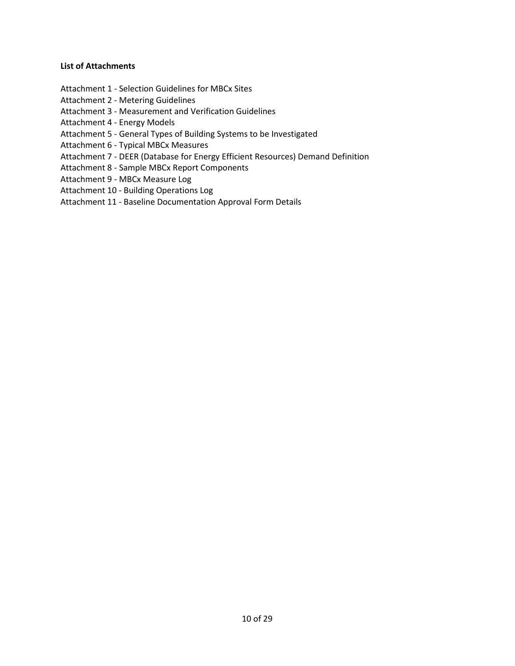#### **List of Attachments**

- Attachment 1 Selection Guidelines for MBCx Sites
- Attachment 2 Metering Guidelines
- Attachment 3 Measurement and Verification Guidelines
- Attachment 4 Energy Models
- Attachment 5 General Types of Building Systems to be Investigated
- Attachment 6 Typical MBCx Measures
- Attachment 7 DEER (Database for Energy Efficient Resources) Demand Definition
- Attachment 8 Sample MBCx Report Components
- Attachment 9 MBCx Measure Log
- Attachment 10 Building Operations Log
- Attachment 11 Baseline Documentation Approval Form Details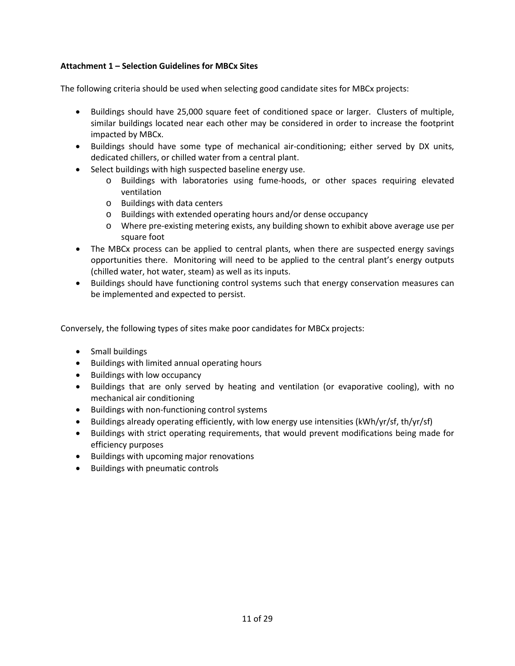## **Attachment 1 – Selection Guidelines for MBCx Sites**

The following criteria should be used when selecting good candidate sites for MBCx projects:

- Buildings should have 25,000 square feet of conditioned space or larger. Clusters of multiple, similar buildings located near each other may be considered in order to increase the footprint impacted by MBCx.
- Buildings should have some type of mechanical air-conditioning; either served by DX units, dedicated chillers, or chilled water from a central plant.
- Select buildings with high suspected baseline energy use.
	- o Buildings with laboratories using fume-hoods, or other spaces requiring elevated ventilation
	- o Buildings with data centers
	- o Buildings with extended operating hours and/or dense occupancy
	- o Where pre-existing metering exists, any building shown to exhibit above average use per square foot
- The MBCx process can be applied to central plants, when there are suspected energy savings opportunities there. Monitoring will need to be applied to the central plant's energy outputs (chilled water, hot water, steam) as well as its inputs.
- Buildings should have functioning control systems such that energy conservation measures can be implemented and expected to persist.

Conversely, the following types of sites make poor candidates for MBCx projects:

- Small buildings
- Buildings with limited annual operating hours
- Buildings with low occupancy
- Buildings that are only served by heating and ventilation (or evaporative cooling), with no mechanical air conditioning
- Buildings with non-functioning control systems
- Buildings already operating efficiently, with low energy use intensities (kWh/yr/sf, th/yr/sf)
- Buildings with strict operating requirements, that would prevent modifications being made for efficiency purposes
- Buildings with upcoming major renovations
- Buildings with pneumatic controls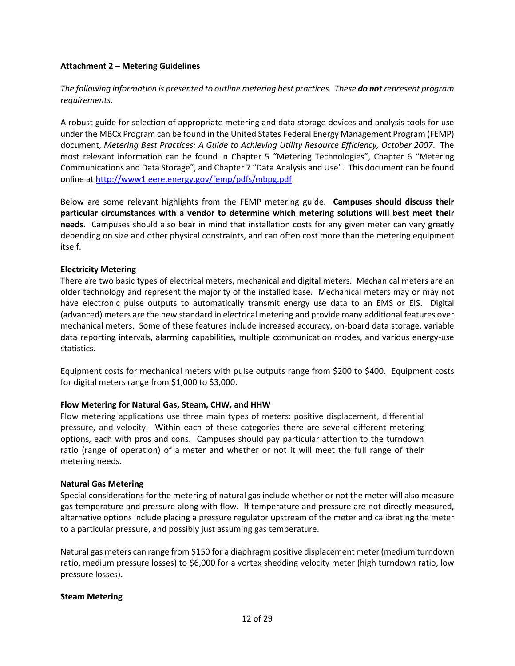## **Attachment 2 – Metering Guidelines**

## *The following information is presented to outline metering best practices. These do not represent program requirements.*

A robust guide for selection of appropriate metering and data storage devices and analysis tools for use under the MBCx Program can be found in the United States Federal Energy Management Program (FEMP) document, *Metering Best Practices: A Guide to Achieving Utility Resource Efficiency, October 2007*. The most relevant information can be found in Chapter 5 "Metering Technologies", Chapter 6 "Metering Communications and Data Storage", and Chapter 7 "Data Analysis and Use". This document can be found online at [http://www1.eere.energy.gov/femp/pdfs/mbpg.pdf.](http://www1.eere.energy.gov/femp/pdfs/mbpg.pdf)

Below are some relevant highlights from the FEMP metering guide. **Campuses should discuss their particular circumstances with a vendor to determine which metering solutions will best meet their needs.** Campuses should also bear in mind that installation costs for any given meter can vary greatly depending on size and other physical constraints, and can often cost more than the metering equipment itself.

## **Electricity Metering**

There are two basic types of electrical meters, mechanical and digital meters. Mechanical meters are an older technology and represent the majority of the installed base. Mechanical meters may or may not have electronic pulse outputs to automatically transmit energy use data to an EMS or EIS. Digital (advanced) meters are the new standard in electrical metering and provide many additional features over mechanical meters. Some of these features include increased accuracy, on-board data storage, variable data reporting intervals, alarming capabilities, multiple communication modes, and various energy-use statistics.

Equipment costs for mechanical meters with pulse outputs range from \$200 to \$400. Equipment costs for digital meters range from \$1,000 to \$3,000.

## **Flow Metering for Natural Gas, Steam, CHW, and HHW**

Flow metering applications use three main types of meters: positive displacement, differential pressure, and velocity. Within each of these categories there are several different metering options, each with pros and cons. Campuses should pay particular attention to the turndown ratio (range of operation) of a meter and whether or not it will meet the full range of their metering needs.

## **Natural Gas Metering**

Special considerations for the metering of natural gas include whether or not the meter will also measure gas temperature and pressure along with flow. If temperature and pressure are not directly measured, alternative options include placing a pressure regulator upstream of the meter and calibrating the meter to a particular pressure, and possibly just assuming gas temperature.

Natural gas meters can range from \$150 for a diaphragm positive displacement meter (medium turndown ratio, medium pressure losses) to \$6,000 for a vortex shedding velocity meter (high turndown ratio, low pressure losses).

## **Steam Metering**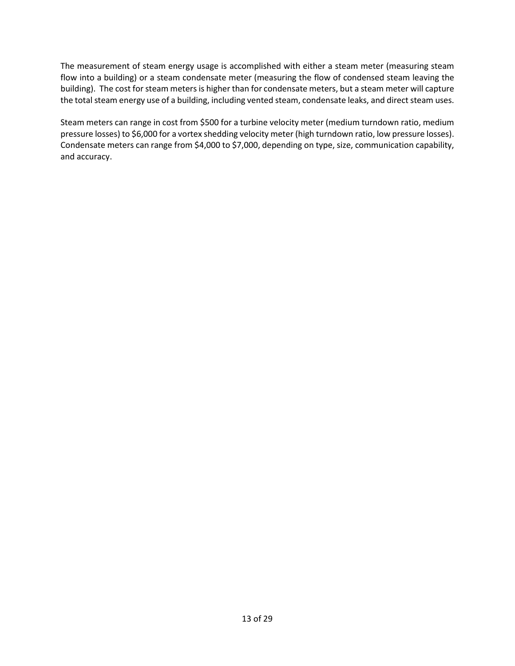The measurement of steam energy usage is accomplished with either a steam meter (measuring steam flow into a building) or a steam condensate meter (measuring the flow of condensed steam leaving the building). The cost for steam meters is higher than for condensate meters, but a steam meter will capture the total steam energy use of a building, including vented steam, condensate leaks, and direct steam uses.

Steam meters can range in cost from \$500 for a turbine velocity meter (medium turndown ratio, medium pressure losses) to \$6,000 for a vortex shedding velocity meter (high turndown ratio, low pressure losses). Condensate meters can range from \$4,000 to \$7,000, depending on type, size, communication capability, and accuracy.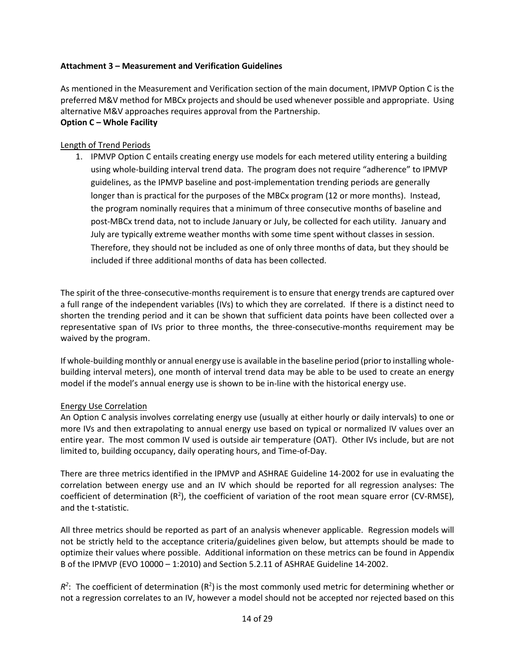## **Attachment 3 – Measurement and Verification Guidelines**

As mentioned in the Measurement and Verification section of the main document, IPMVP Option C is the preferred M&V method for MBCx projects and should be used whenever possible and appropriate. Using alternative M&V approaches requires approval from the Partnership. **Option C – Whole Facility**

# Length of Trend Periods

1. IPMVP Option C entails creating energy use models for each metered utility entering a building using whole-building interval trend data. The program does not require "adherence" to IPMVP guidelines, as the IPMVP baseline and post-implementation trending periods are generally longer than is practical for the purposes of the MBCx program (12 or more months). Instead, the program nominally requires that a minimum of three consecutive months of baseline and post-MBCx trend data, not to include January or July, be collected for each utility. January and July are typically extreme weather months with some time spent without classes in session. Therefore, they should not be included as one of only three months of data, but they should be included if three additional months of data has been collected.

The spirit of the three-consecutive-months requirement is to ensure that energy trends are captured over a full range of the independent variables (IVs) to which they are correlated. If there is a distinct need to shorten the trending period and it can be shown that sufficient data points have been collected over a representative span of IVs prior to three months, the three-consecutive-months requirement may be waived by the program.

If whole-building monthly or annual energy use is available in the baseline period (prior to installing wholebuilding interval meters), one month of interval trend data may be able to be used to create an energy model if the model's annual energy use is shown to be in-line with the historical energy use.

## Energy Use Correlation

An Option C analysis involves correlating energy use (usually at either hourly or daily intervals) to one or more IVs and then extrapolating to annual energy use based on typical or normalized IV values over an entire year. The most common IV used is outside air temperature (OAT). Other IVs include, but are not limited to, building occupancy, daily operating hours, and Time-of-Day.

There are three metrics identified in the IPMVP and ASHRAE Guideline 14-2002 for use in evaluating the correlation between energy use and an IV which should be reported for all regression analyses: The coefficient of determination  $(R^2)$ , the coefficient of variation of the root mean square error (CV-RMSE), and the t-statistic.

All three metrics should be reported as part of an analysis whenever applicable. Regression models will not be strictly held to the acceptance criteria/guidelines given below, but attempts should be made to optimize their values where possible. Additional information on these metrics can be found in Appendix B of the IPMVP (EVO 10000 – 1:2010) and Section 5.2.11 of ASHRAE Guideline 14-2002.

 $R^2$ : The coefficient of determination  $(R^2)$  is the most commonly used metric for determining whether or not a regression correlates to an IV, however a model should not be accepted nor rejected based on this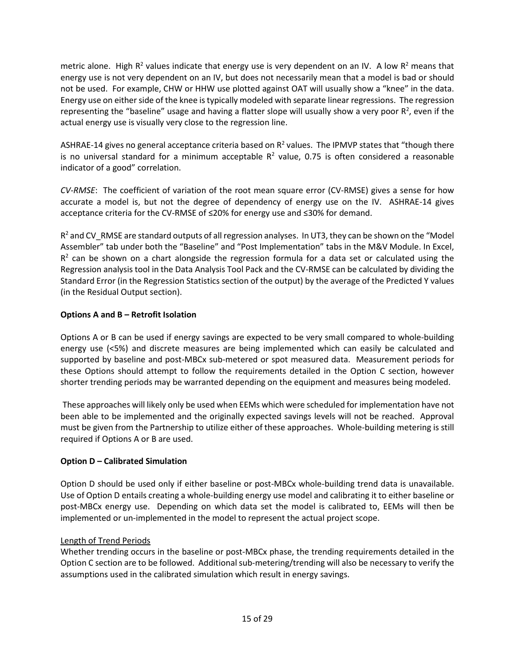metric alone. High  $R^2$  values indicate that energy use is very dependent on an IV. A low  $R^2$  means that energy use is not very dependent on an IV, but does not necessarily mean that a model is bad or should not be used. For example, CHW or HHW use plotted against OAT will usually show a "knee" in the data. Energy use on either side of the knee is typically modeled with separate linear regressions. The regression representing the "baseline" usage and having a flatter slope will usually show a very poor  $R^2$ , even if the actual energy use is visually very close to the regression line.

ASHRAE-14 gives no general acceptance criteria based on  $R<sup>2</sup>$  values. The IPMVP states that "though there is no universal standard for a minimum acceptable  $R<sup>2</sup>$  value, 0.75 is often considered a reasonable indicator of a good" correlation.

*CV-RMSE*: The coefficient of variation of the root mean square error (CV-RMSE) gives a sense for how accurate a model is, but not the degree of dependency of energy use on the IV. ASHRAE-14 gives acceptance criteria for the CV-RMSE of ≤20% for energy use and ≤30% for demand.

 $R<sup>2</sup>$  and CV\_RMSE are standard outputs of all regression analyses. In UT3, they can be shown on the "Model Assembler" tab under both the "Baseline" and "Post Implementation" tabs in the M&V Module. In Excel,  $R<sup>2</sup>$  can be shown on a chart alongside the regression formula for a data set or calculated using the Regression analysis tool in the Data Analysis Tool Pack and the CV-RMSE can be calculated by dividing the Standard Error (in the Regression Statistics section of the output) by the average of the Predicted Y values (in the Residual Output section).

## **Options A and B – Retrofit Isolation**

Options A or B can be used if energy savings are expected to be very small compared to whole-building energy use (<5%) and discrete measures are being implemented which can easily be calculated and supported by baseline and post-MBCx sub-metered or spot measured data. Measurement periods for these Options should attempt to follow the requirements detailed in the Option C section, however shorter trending periods may be warranted depending on the equipment and measures being modeled.

These approaches will likely only be used when EEMs which were scheduled for implementation have not been able to be implemented and the originally expected savings levels will not be reached. Approval must be given from the Partnership to utilize either of these approaches. Whole-building metering is still required if Options A or B are used.

## **Option D – Calibrated Simulation**

Option D should be used only if either baseline or post-MBCx whole-building trend data is unavailable. Use of Option D entails creating a whole-building energy use model and calibrating it to either baseline or post-MBCx energy use. Depending on which data set the model is calibrated to, EEMs will then be implemented or un-implemented in the model to represent the actual project scope.

## Length of Trend Periods

Whether trending occurs in the baseline or post-MBCx phase, the trending requirements detailed in the Option C section are to be followed. Additional sub-metering/trending will also be necessary to verify the assumptions used in the calibrated simulation which result in energy savings.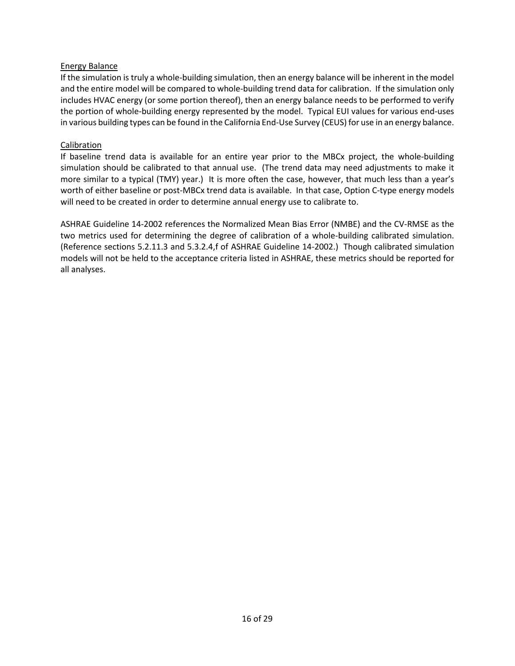## Energy Balance

If the simulation is truly a whole-building simulation, then an energy balance will be inherent in the model and the entire model will be compared to whole-building trend data for calibration. If the simulation only includes HVAC energy (or some portion thereof), then an energy balance needs to be performed to verify the portion of whole-building energy represented by the model. Typical EUI values for various end-uses in various building types can be found in the California End-Use Survey (CEUS) for use in an energy balance.

## Calibration

If baseline trend data is available for an entire year prior to the MBCx project, the whole-building simulation should be calibrated to that annual use. (The trend data may need adjustments to make it more similar to a typical (TMY) year.) It is more often the case, however, that much less than a year's worth of either baseline or post-MBCx trend data is available. In that case, Option C-type energy models will need to be created in order to determine annual energy use to calibrate to.

ASHRAE Guideline 14-2002 references the Normalized Mean Bias Error (NMBE) and the CV-RMSE as the two metrics used for determining the degree of calibration of a whole-building calibrated simulation. (Reference sections 5.2.11.3 and 5.3.2.4,f of ASHRAE Guideline 14-2002.) Though calibrated simulation models will not be held to the acceptance criteria listed in ASHRAE, these metrics should be reported for all analyses.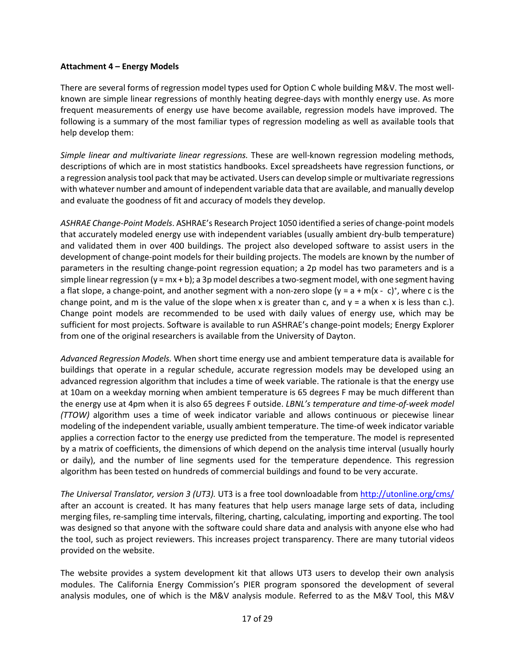## **Attachment 4 – Energy Models**

There are several forms of regression model types used for Option C whole building M&V. The most wellknown are simple linear regressions of monthly heating degree-days with monthly energy use. As more frequent measurements of energy use have become available, regression models have improved. The following is a summary of the most familiar types of regression modeling as well as available tools that help develop them:

*Simple linear and multivariate linear regressions.* These are well-known regression modeling methods, descriptions of which are in most statistics handbooks. Excel spreadsheets have regression functions, or a regression analysis tool pack that may be activated. Users can develop simple or multivariate regressions with whatever number and amount of independent variable data that are available, and manually develop and evaluate the goodness of fit and accuracy of models they develop.

*ASHRAE Change-Point Models*. ASHRAE's Research Project 1050 identified a series of change-point models that accurately modeled energy use with independent variables (usually ambient dry-bulb temperature) and validated them in over 400 buildings. The project also developed software to assist users in the development of change-point models for their building projects. The models are known by the number of parameters in the resulting change-point regression equation; a 2p model has two parameters and is a simple linear regression ( $y = mx + b$ ); a 3p model describes a two-segment model, with one segment having a flat slope, a change-point, and another segment with a non-zero slope  $(y = a + m(x - c)^{+}$ , where c is the change point, and m is the value of the slope when x is greater than c, and  $y = a$  when x is less than c.). Change point models are recommended to be used with daily values of energy use, which may be sufficient for most projects. Software is available to run ASHRAE's change-point models; Energy Explorer from one of the original researchers is available from the University of Dayton.

*Advanced Regression Models.* When short time energy use and ambient temperature data is available for buildings that operate in a regular schedule, accurate regression models may be developed using an advanced regression algorithm that includes a time of week variable. The rationale is that the energy use at 10am on a weekday morning when ambient temperature is 65 degrees F may be much different than the energy use at 4pm when it is also 65 degrees F outside. *LBNL's temperature and time-of-week model (TTOW)* algorithm uses a time of week indicator variable and allows continuous or piecewise linear modeling of the independent variable, usually ambient temperature. The time-of week indicator variable applies a correction factor to the energy use predicted from the temperature. The model is represented by a matrix of coefficients, the dimensions of which depend on the analysis time interval (usually hourly or daily), and the number of line segments used for the temperature dependence. This regression algorithm has been tested on hundreds of commercial buildings and found to be very accurate.

*The Universal Translator, version 3 (UT3).* UT3 is a free tool downloadable fro[m http://utonline.org/cms/](http://utonline.org/cms/) after an account is created. It has many features that help users manage large sets of data, including merging files, re-sampling time intervals, filtering, charting, calculating, importing and exporting. The tool was designed so that anyone with the software could share data and analysis with anyone else who had the tool, such as project reviewers. This increases project transparency. There are many tutorial videos provided on the website.

The website provides a system development kit that allows UT3 users to develop their own analysis modules. The California Energy Commission's PIER program sponsored the development of several analysis modules, one of which is the M&V analysis module. Referred to as the M&V Tool, this M&V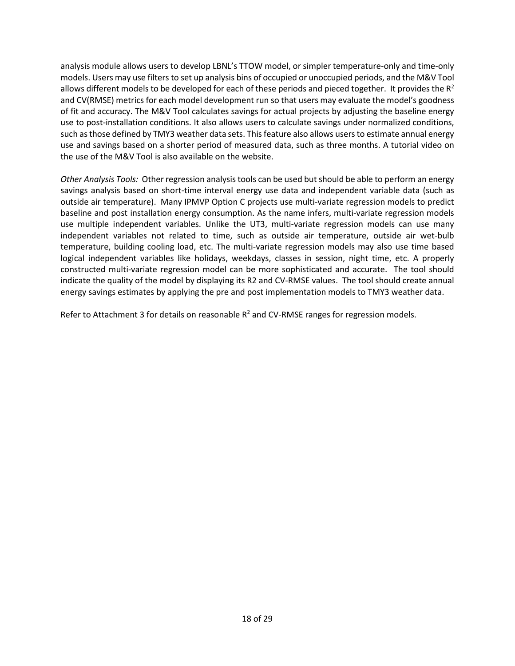analysis module allows users to develop LBNL's TTOW model, or simpler temperature-only and time-only models. Users may use filters to set up analysis bins of occupied or unoccupied periods, and the M&V Tool allows different models to be developed for each of these periods and pieced together. It provides the  $R^2$ and CV(RMSE) metrics for each model development run so that users may evaluate the model's goodness of fit and accuracy. The M&V Tool calculates savings for actual projects by adjusting the baseline energy use to post-installation conditions. It also allows users to calculate savings under normalized conditions, such as those defined by TMY3 weather data sets. This feature also allows users to estimate annual energy use and savings based on a shorter period of measured data, such as three months. A tutorial video on the use of the M&V Tool is also available on the website.

*Other Analysis Tools:* Other regression analysis tools can be used but should be able to perform an energy savings analysis based on short-time interval energy use data and independent variable data (such as outside air temperature). Many IPMVP Option C projects use multi-variate regression models to predict baseline and post installation energy consumption. As the name infers, multi-variate regression models use multiple independent variables. Unlike the UT3, multi-variate regression models can use many independent variables not related to time, such as outside air temperature, outside air wet-bulb temperature, building cooling load, etc. The multi-variate regression models may also use time based logical independent variables like holidays, weekdays, classes in session, night time, etc. A properly constructed multi-variate regression model can be more sophisticated and accurate. The tool should indicate the quality of the model by displaying its R2 and CV-RMSE values. The tool should create annual energy savings estimates by applying the pre and post implementation models to TMY3 weather data.

Refer to Attachment 3 for details on reasonable  $R^2$  and CV-RMSE ranges for regression models.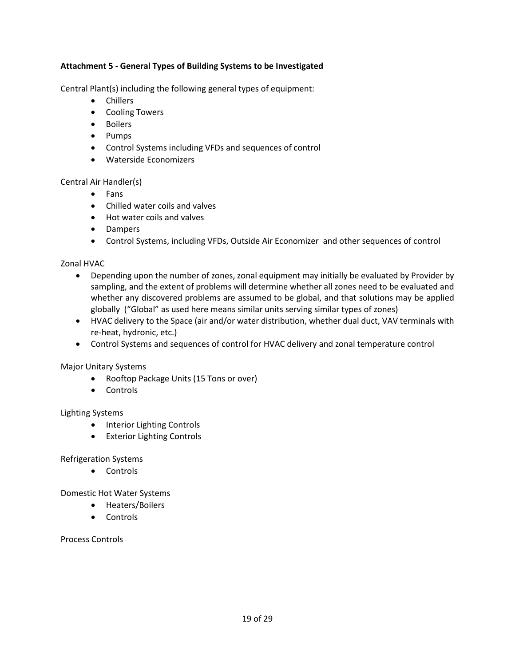## **Attachment 5 - General Types of Building Systems to be Investigated**

Central Plant(s) including the following general types of equipment:

- Chillers
- Cooling Towers
- Boilers
- Pumps
- Control Systems including VFDs and sequences of control
- Waterside Economizers

Central Air Handler(s)

- Fans
- Chilled water coils and valves
- Hot water coils and valves
- Dampers
- Control Systems, including VFDs, Outside Air Economizer and other sequences of control

Zonal HVAC

- Depending upon the number of zones, zonal equipment may initially be evaluated by Provider by sampling, and the extent of problems will determine whether all zones need to be evaluated and whether any discovered problems are assumed to be global, and that solutions may be applied globally ("Global" as used here means similar units serving similar types of zones)
- HVAC delivery to the Space (air and/or water distribution, whether dual duct, VAV terminals with re-heat, hydronic, etc.)
- Control Systems and sequences of control for HVAC delivery and zonal temperature control

Major Unitary Systems

- Rooftop Package Units (15 Tons or over)
- Controls

## Lighting Systems

- Interior Lighting Controls
- Exterior Lighting Controls

Refrigeration Systems

• Controls

Domestic Hot Water Systems

- Heaters/Boilers
- Controls

Process Controls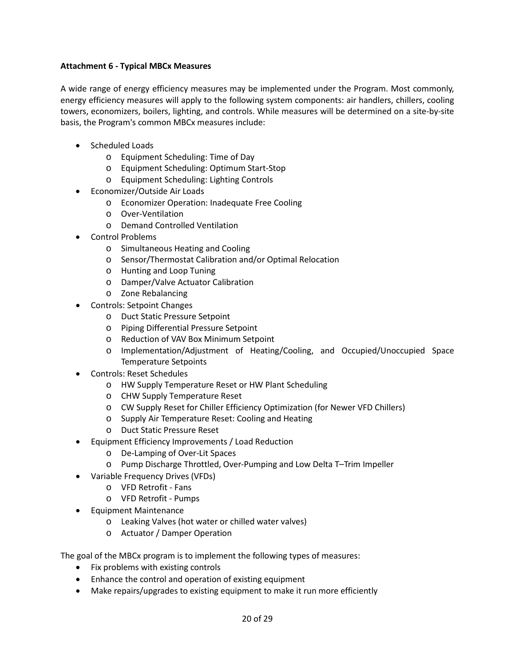## **Attachment 6 - Typical MBCx Measures**

A wide range of energy efficiency measures may be implemented under the Program. Most commonly, energy efficiency measures will apply to the following system components: air handlers, chillers, cooling towers, economizers, boilers, lighting, and controls. While measures will be determined on a site-by-site basis, the Program's common MBCx measures include:

- Scheduled Loads
	- o Equipment Scheduling: Time of Day
	- o Equipment Scheduling: Optimum Start-Stop
	- o Equipment Scheduling: Lighting Controls
- Economizer/Outside Air Loads
	- o Economizer Operation: Inadequate Free Cooling
	- o Over-Ventilation
	- o Demand Controlled Ventilation
- Control Problems
	- o Simultaneous Heating and Cooling
	- o Sensor/Thermostat Calibration and/or Optimal Relocation
	- o Hunting and Loop Tuning
	- o Damper/Valve Actuator Calibration
	- o Zone Rebalancing
- Controls: Setpoint Changes
	- o Duct Static Pressure Setpoint
	- o Piping Differential Pressure Setpoint
	- o Reduction of VAV Box Minimum Setpoint
	- o Implementation/Adjustment of Heating/Cooling, and Occupied/Unoccupied Space Temperature Setpoints
- Controls: Reset Schedules
	- o HW Supply Temperature Reset or HW Plant Scheduling
	- o CHW Supply Temperature Reset
	- o CW Supply Reset for Chiller Efficiency Optimization (for Newer VFD Chillers)
	- o Supply Air Temperature Reset: Cooling and Heating
	- o Duct Static Pressure Reset
- Equipment Efficiency Improvements / Load Reduction
	- o De-Lamping of Over-Lit Spaces
	- o Pump Discharge Throttled, Over-Pumping and Low Delta T–Trim Impeller
- Variable Frequency Drives (VFDs)
	- o VFD Retrofit Fans
	- o VFD Retrofit Pumps
- Equipment Maintenance
	- o Leaking Valves (hot water or chilled water valves)
	- o Actuator / Damper Operation

The goal of the MBCx program is to implement the following types of measures:

- Fix problems with existing controls
- Enhance the control and operation of existing equipment
- Make repairs/upgrades to existing equipment to make it run more efficiently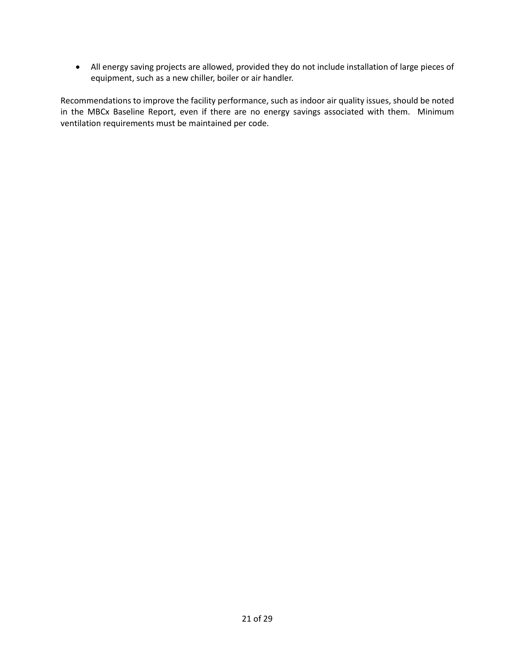• All energy saving projects are allowed, provided they do not include installation of large pieces of equipment, such as a new chiller, boiler or air handler.

Recommendations to improve the facility performance, such as indoor air quality issues, should be noted in the MBCx Baseline Report, even if there are no energy savings associated with them. Minimum ventilation requirements must be maintained per code.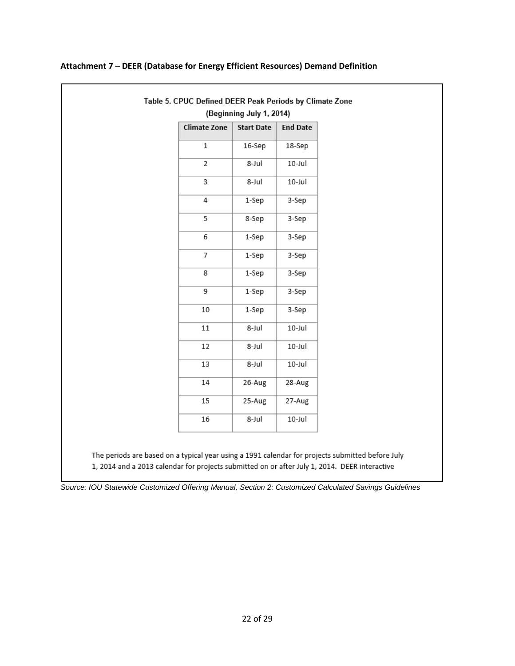|                     | (Beginning July 1, 2014) |                 |
|---------------------|--------------------------|-----------------|
| <b>Climate Zone</b> | <b>Start Date</b>        | <b>End Date</b> |
| $\,1$               | 16-Sep                   | 18-Sep          |
| $\overline{2}$      | 8-Jul                    | 10-Jul          |
| 3                   | 8-Jul                    | 10-Jul          |
| 4                   | 1-Sep                    | 3-Sep           |
| 5                   | 8-Sep                    | 3-Sep           |
| 6                   | 1-Sep                    | 3-Sep           |
| 7                   | 1-Sep                    | 3-Sep           |
| 8                   | 1-Sep                    | 3-Sep           |
| 9                   | 1-Sep                    | 3-Sep           |
| 10                  | 1-Sep                    | 3-Sep           |
| 11                  | 8-Jul                    | 10-Jul          |
| 12                  | 8-Jul                    | 10-Jul          |
| 13                  | 8-Jul                    | 10-Jul          |
| 14                  | 26-Aug                   | 28-Aug          |
| 15                  | 25-Aug                   | 27-Aug          |
| 16                  | 8-Jul                    | 10-Jul          |

## **Attachment 7 – DEER (Database for Energy Efficient Resources) Demand Definition**

*Source: IOU Statewide Customized Offering Manual, Section 2: Customized Calculated Savings Guidelines*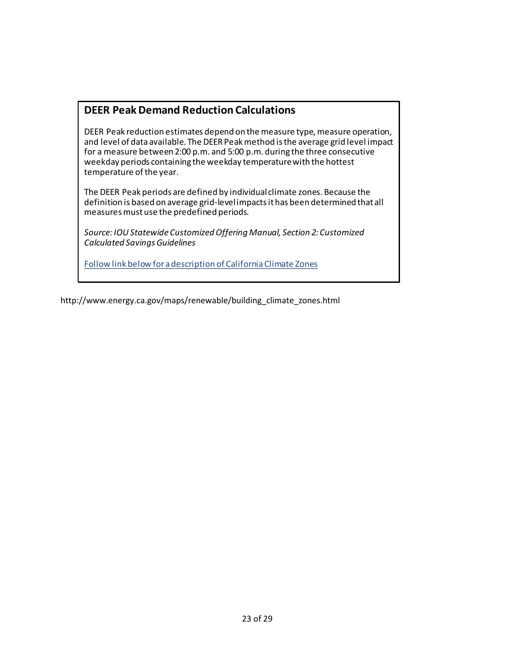# **DEER Peak Demand Reduction Calculations**

DEER Peak reduction estimates depend on the measure type, measure operation, and level of data available. The DEER Peak method is the average grid level impact for a measure between 2:00 p.m. and 5:00 p.m. during the three consecutive weekday periods containing the weekday temperature with the hottest temperature of the year.

The DEER Peak periods are defined by individual climate zones. Because the definition is based on average grid-level impacts it has been determined that all measures must use the predefined periods.

*Source: IOU Statewide Customized Offering Manual, Section 2: Customized Calculated Savings Guidelines*

Follow link below for a description of California Climate Zones

http://www.energy.ca.gov/maps/renewable/building\_climate\_zones.html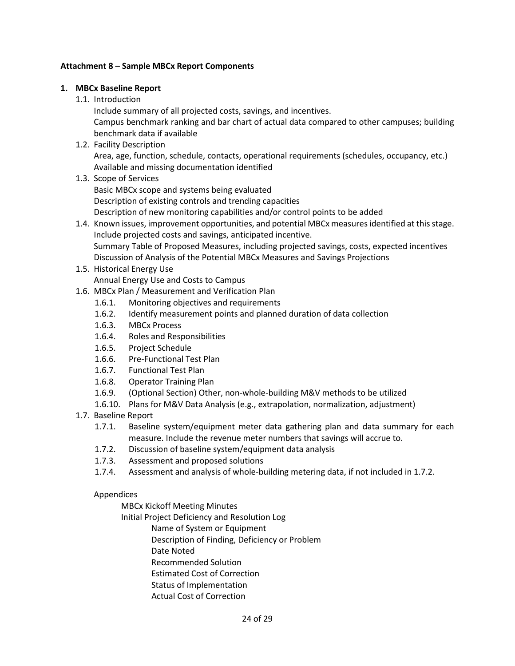## **Attachment 8 – Sample MBCx Report Components**

## **1. MBCx Baseline Report**

1.1. Introduction

Include summary of all projected costs, savings, and incentives.

Campus benchmark ranking and bar chart of actual data compared to other campuses; building benchmark data if available

1.2. Facility Description

Area, age, function, schedule, contacts, operational requirements (schedules, occupancy, etc.) Available and missing documentation identified

- 1.3. Scope of Services Basic MBCx scope and systems being evaluated Description of existing controls and trending capacities Description of new monitoring capabilities and/or control points to be added
- 1.4. Known issues, improvement opportunities, and potential MBCx measures identified at this stage. Include projected costs and savings, anticipated incentive. Summary Table of Proposed Measures, including projected savings, costs, expected incentives Discussion of Analysis of the Potential MBCx Measures and Savings Projections
- 1.5. Historical Energy Use Annual Energy Use and Costs to Campus
- 1.6. MBCx Plan / Measurement and Verification Plan
	- 1.6.1. Monitoring objectives and requirements
	- 1.6.2. Identify measurement points and planned duration of data collection
	- 1.6.3. MBCx Process
	- 1.6.4. Roles and Responsibilities
	- 1.6.5. Project Schedule
	- 1.6.6. Pre-Functional Test Plan
	- 1.6.7. Functional Test Plan
	- 1.6.8. Operator Training Plan
	- 1.6.9. (Optional Section) Other, non-whole-building M&V methods to be utilized
	- 1.6.10. Plans for M&V Data Analysis (e.g., extrapolation, normalization, adjustment)
- 1.7. Baseline Report
	- 1.7.1. Baseline system/equipment meter data gathering plan and data summary for each measure. Include the revenue meter numbers that savings will accrue to.
	- 1.7.2. Discussion of baseline system/equipment data analysis
	- 1.7.3. Assessment and proposed solutions
	- 1.7.4. Assessment and analysis of whole-building metering data, if not included in 1.7.2.

## Appendices

MBCx Kickoff Meeting Minutes

Initial Project Deficiency and Resolution Log

Name of System or Equipment

Description of Finding, Deficiency or Problem

- Date Noted
- Recommended Solution
- Estimated Cost of Correction
- Status of Implementation
- Actual Cost of Correction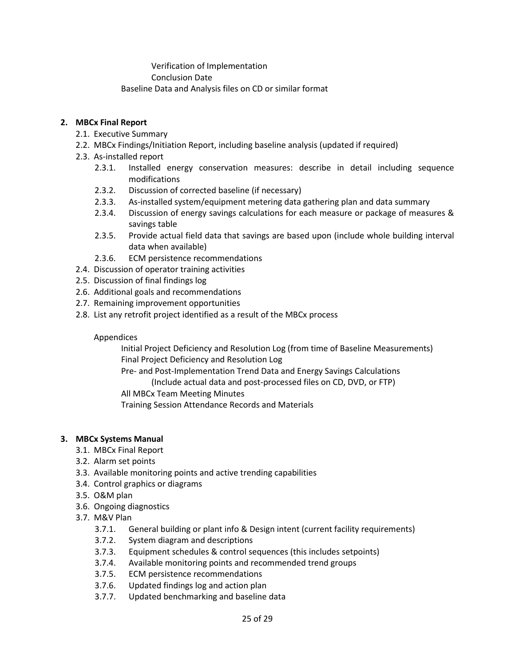Verification of Implementation Conclusion Date Baseline Data and Analysis files on CD or similar format

## **2. MBCx Final Report**

- 2.1. Executive Summary
- 2.2. MBCx Findings/Initiation Report, including baseline analysis (updated if required)
- 2.3. As-installed report
	- 2.3.1. Installed energy conservation measures: describe in detail including sequence modifications
	- 2.3.2. Discussion of corrected baseline (if necessary)
	- 2.3.3. As-installed system/equipment metering data gathering plan and data summary
	- 2.3.4. Discussion of energy savings calculations for each measure or package of measures & savings table
	- 2.3.5. Provide actual field data that savings are based upon (include whole building interval data when available)
	- 2.3.6. ECM persistence recommendations
- 2.4. Discussion of operator training activities
- 2.5. Discussion of final findings log
- 2.6. Additional goals and recommendations
- 2.7. Remaining improvement opportunities
- 2.8. List any retrofit project identified as a result of the MBCx process

## Appendices

Initial Project Deficiency and Resolution Log (from time of Baseline Measurements) Final Project Deficiency and Resolution Log

Pre- and Post-Implementation Trend Data and Energy Savings Calculations

(Include actual data and post-processed files on CD, DVD, or FTP)

All MBCx Team Meeting Minutes

Training Session Attendance Records and Materials

## **3. MBCx Systems Manual**

- 3.1. MBCx Final Report
- 3.2. Alarm set points
- 3.3. Available monitoring points and active trending capabilities
- 3.4. Control graphics or diagrams
- 3.5. O&M plan
- 3.6. Ongoing diagnostics
- 3.7. M&V Plan
	- 3.7.1. General building or plant info & Design intent (current facility requirements)
	- 3.7.2. System diagram and descriptions
	- 3.7.3. Equipment schedules & control sequences (this includes setpoints)
	- 3.7.4. Available monitoring points and recommended trend groups
	- 3.7.5. ECM persistence recommendations
	- 3.7.6. Updated findings log and action plan
	- 3.7.7. Updated benchmarking and baseline data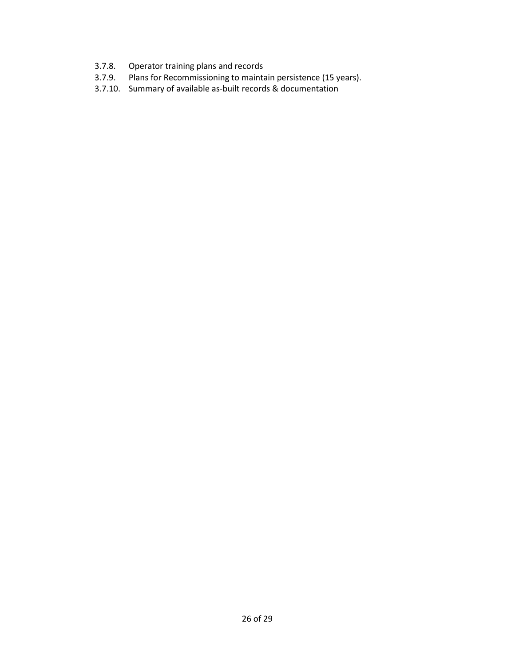- 3.7.8. Operator training plans and records
- 3.7.9. Plans for Recommissioning to maintain persistence (15 years).
- 3.7.10. Summary of available as-built records & documentation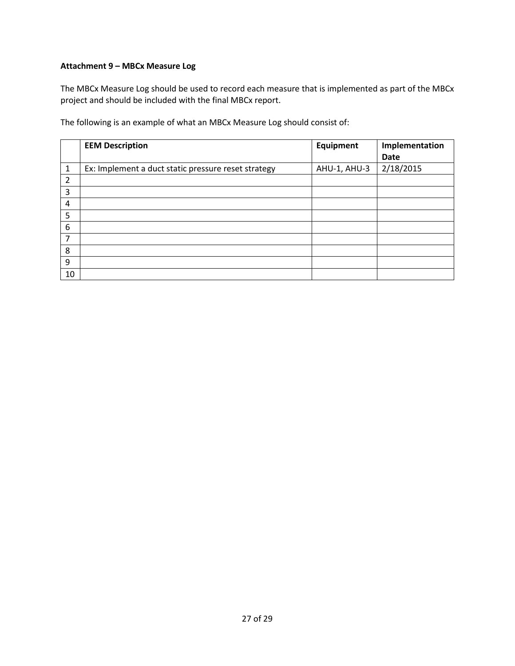## **Attachment 9 – MBCx Measure Log**

The MBCx Measure Log should be used to record each measure that is implemented as part of the MBCx project and should be included with the final MBCx report.

The following is an example of what an MBCx Measure Log should consist of:

|                | <b>EEM Description</b>                              | Equipment    | Implementation |
|----------------|-----------------------------------------------------|--------------|----------------|
|                |                                                     |              | Date           |
| $\mathbf{1}$   | Ex: Implement a duct static pressure reset strategy | AHU-1, AHU-3 | 2/18/2015      |
| $\overline{2}$ |                                                     |              |                |
| 3              |                                                     |              |                |
| 4              |                                                     |              |                |
| 5              |                                                     |              |                |
| 6              |                                                     |              |                |
| 7              |                                                     |              |                |
| 8              |                                                     |              |                |
| 9              |                                                     |              |                |
| 10             |                                                     |              |                |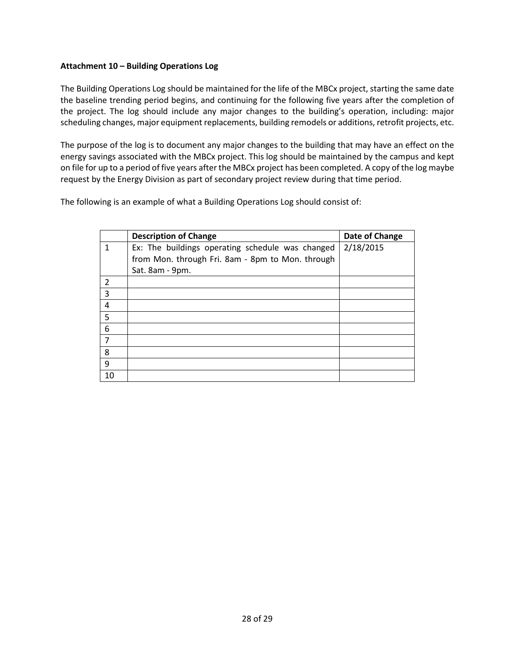## **Attachment 10 – Building Operations Log**

The Building Operations Log should be maintained for the life of the MBCx project, starting the same date the baseline trending period begins, and continuing for the following five years after the completion of the project. The log should include any major changes to the building's operation, including: major scheduling changes, major equipment replacements, building remodels or additions, retrofit projects, etc.

The purpose of the log is to document any major changes to the building that may have an effect on the energy savings associated with the MBCx project. This log should be maintained by the campus and kept on file for up to a period of five years after the MBCx project has been completed. A copy of the log maybe request by the Energy Division as part of secondary project review during that time period.

The following is an example of what a Building Operations Log should consist of:

|                         | <b>Description of Change</b>                     | Date of Change |
|-------------------------|--------------------------------------------------|----------------|
| $\mathbf{1}$            | Ex: The buildings operating schedule was changed | 2/18/2015      |
|                         | from Mon. through Fri. 8am - 8pm to Mon. through |                |
|                         | Sat. 8am - 9pm.                                  |                |
| $\overline{2}$          |                                                  |                |
| 3                       |                                                  |                |
| $\overline{\mathbf{r}}$ |                                                  |                |
| 5                       |                                                  |                |
| 6                       |                                                  |                |
| 7                       |                                                  |                |
| 8                       |                                                  |                |
| 9                       |                                                  |                |
| 10                      |                                                  |                |